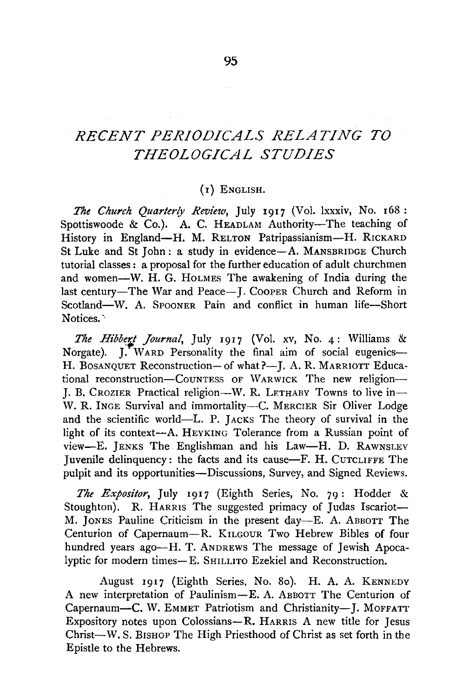## *RECENT PERIODICALS RELATING TO THEOLOGICAL STUDIES*

## (I) ENGLISH.

*The Church Quarterly Review,* July I9I7 (Vol. lxxxiv, No. I68: Spottiswoode & Co.). A. C. HEADLAM Authority-The teaching of History in England-H. M. RELTON Patripassianism-H. RICKARD St Luke and St John: a study in evidence-A. MANSBRIDGE Church tutorial classes: a proposal for the further education of adult churchmen and women-W. H. G. HoLMES The awakening of India during the last century-The War and Peace-J. CoopER Church and Reform in Scotland-W. A. SPOONER Pain and conflict in human life-Short Notices.

The Hibbert Journal, July 1917 (Vol. xv, No. 4: Williams & Norgate). J. WARD Personality the final aim of social eugenics-H. BOSANQUET Reconstruction- of what?-J. A. R. MARRIOTT Educational reconstruction-CouNTEss OF WARWICK The new religion-I. B. CROZIER Practical religion-W. R. LETHABY Towns to live in-W. R. INGE Survival and immortality---C. MERCIER Sir Oliver Lodge and the scientific world-L. P. JAcKs The theory of survival in the light of its context-A. HEYKING Tolerance from a Russian point of view-E. JENKS The Englishman and his Law-H. D. RAWNSLEY Juvenile delinquency: the facts and its cause-F. H. CUTCLIFFE The pulpit and its opportunities-Discussions, Survey, and Signed Reviews.

*The Expositor,* July I9I7 (Eighth Series, No. 79: Hodder & Stoughton). R. HARRIS The suggested primacy of Judas Iscariot-M. JONES Pauline Criticism in the present day-E. A. ABBOTT The Centurion of Capernaum-R. KrLGOUR Two Hebrew Bibles of four hundred years ago-H. T. ANDREWS The message of Jewish Apocalyptic for modern times- E. SHrLLITO Ezekiel and Reconstruction.

August I9I7 (Eighth Series, No. So). H. A. A. KENNEDY A new interpretation of Paulinism-E. A. ABBOTT The Centurion of Capernaum-C. W. EMMET Patriotism and Christianity-J. MOFFATT Expository notes upon Colossians-R. HARRIS A new title for Jesus Christ-W. S. BISHOP The High Priesthood of Christ as set forth in the Epistle to the Hebrews.